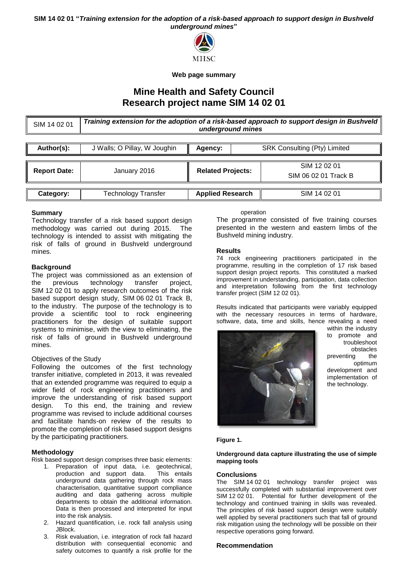**SIM 14 02 01 "***Training extension for the adoption of a risk-based approach to support design in Bushveld underground mines***"**



**Web page summary**

# **Mine Health and Safety Council Research project name SIM 14 02 01**

SIM 14 02 01 *Training extension for the adoption of a risk-based approach to support design in Bushveld underground mines*

| Author(s):          | J Walls; O Pillay, W Joughin | Agency:                  | SRK Consulting (Pty) Limited |                                      |
|---------------------|------------------------------|--------------------------|------------------------------|--------------------------------------|
| <b>Report Date:</b> | January 2016                 | <b>Related Projects:</b> |                              | SIM 12 02 01<br>SIM 06 02 01 Track B |
| Category:           | Technology Transfer          | <b>Applied Research</b>  |                              | SIM 14 02 01                         |

## **Summary**

Technology transfer of a risk based support design methodology was carried out during 2015. The technology is intended to assist with mitigating the risk of falls of ground in Bushveld underground mines.

## **Background**

The project was commissioned as an extension of the previous technology transfer project, SIM 12 02 01 to apply research outcomes of the risk based support design study, SIM 06 02 01 Track B, to the industry. The purpose of the technology is to provide a scientific tool to rock engineering practitioners for the design of suitable support systems to minimise, with the view to eliminating, the risk of falls of ground in Bushveld underground mines.

#### Objectives of the Study

Following the outcomes of the first technology transfer initiative, completed in 2013, it was revealed that an extended programme was required to equip a wider field of rock engineering practitioners and improve the understanding of risk based support design. To this end, the training and review programme was revised to include additional courses and facilitate hands-on review of the results to promote the completion of risk based support designs by the participating practitioners.

# **Methodology**

Risk based support design comprises three basic elements:

- 1. Preparation of input data, i.e. geotechnical, production and support data. This entails underground data gathering through rock mass characterisation, quantitative support compliance auditing and data gathering across multiple departments to obtain the additional information. Data is then processed and interpreted for input into the risk analysis.
- 2. Hazard quantification, i.e. rock fall analysis using JBlock.
- 3. Risk evaluation, i.e. integration of rock fall hazard distribution with consequential economic and safety outcomes to quantify a risk profile for the

operation

The programme consisted of five training courses presented in the western and eastern limbs of the Bushveld mining industry.

#### **Results**

74 rock engineering practitioners participated in the programme, resulting in the completion of 17 risk based support design project reports. This constituted a marked improvement in understanding, participation, data collection and interpretation following from the first technology transfer project (SIM 12 02 01).

Results indicated that participants were variably equipped with the necessary resources in terms of hardware, software, data, time and skills, hence revealing a need



within the industry to promote and troubleshoot obstacles preventing the optimum development and implementation of the technology.

#### **Figure 1.**

#### **Underground data capture illustrating the use of simple mapping tools**

#### **Conclusions**

The SIM 14 02 01 technology transfer project was successfully completed with substantial improvement over SIM 12 02 01. Potential for further development of the technology and continued training in skills was revealed. The principles of risk based support design were suitably well applied by several practitioners such that fall of ground risk mitigation using the technology will be possible on their respective operations going forward.

#### **Recommendation**